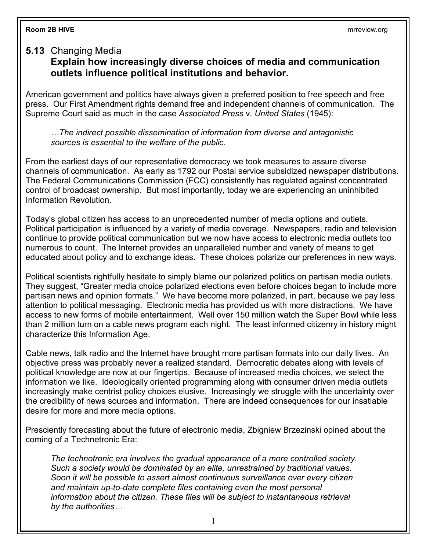## **5.13** Changing Media

## **Explain how increasingly diverse choices of media and communication outlets influence political institutions and behavior.**

American government and politics have always given a preferred position to free speech and free press. Our First Amendment rights demand free and independent channels of communication. The Supreme Court said as much in the case *Associated Press* v. *United States* (1945):

*…The indirect possible dissemination of information from diverse and antagonistic sources is essential to the welfare of the public.*

From the earliest days of our representative democracy we took measures to assure diverse channels of communication. As early as 1792 our Postal service subsidized newspaper distributions. The Federal Communications Commission (FCC) consistently has regulated against concentrated control of broadcast ownership. But most importantly, today we are experiencing an uninhibited Information Revolution.

Today's global citizen has access to an unprecedented number of media options and outlets. Political participation is influenced by a variety of media coverage. Newspapers, radio and television continue to provide political communication but we now have access to electronic media outlets too numerous to count. The Internet provides an unparalleled number and variety of means to get educated about policy and to exchange ideas. These choices polarize our preferences in new ways.

Political scientists rightfully hesitate to simply blame our polarized politics on partisan media outlets. They suggest, "Greater media choice polarized elections even before choices began to include more partisan news and opinion formats." We have become more polarized, in part, because we pay less attention to political messaging. Electronic media has provided us with more distractions. We have access to new forms of mobile entertainment. Well over 150 million watch the Super Bowl while less than 2 million turn on a cable news program each night. The least informed citizenry in history might characterize this Information Age.

Cable news, talk radio and the Internet have brought more partisan formats into our daily lives. An objective press was probably never a realized standard. Democratic debates along with levels of political knowledge are now at our fingertips. Because of increased media choices, we select the information we like. Ideologically oriented programming along with consumer driven media outlets increasingly make centrist policy choices elusive. Increasingly we struggle with the uncertainty over the credibility of news sources and information. There are indeed consequences for our insatiable desire for more and more media options.

Presciently forecasting about the future of electronic media, Zbigniew Brzezinski opined about the coming of a Technetronic Era:

*The technotronic era involves the gradual appearance of a more controlled society. Such a society would be dominated by an elite, unrestrained by traditional values. Soon it will be possible to assert almost continuous surveillance over every citizen and maintain up-to-date complete files containing even the most personal information about the citizen. These files will be subject to instantaneous retrieval by the authorities…*